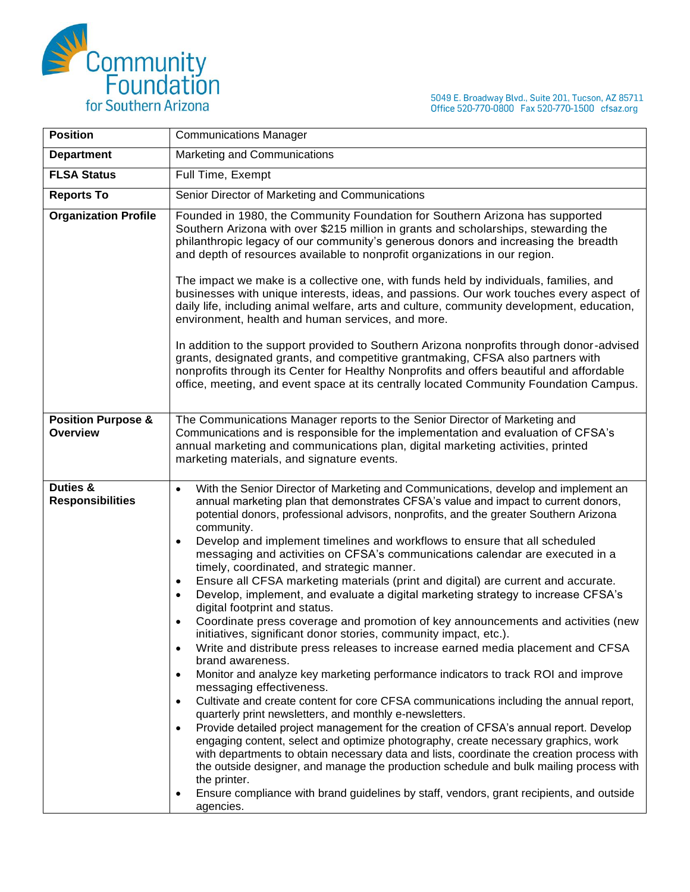

5049 E. Broadway Blvd., Suite 201, Tucson, AZ 85711<br>Office 520-770-0800 Fax 520-770-1500 cfsaz.org

| <b>Position</b>                                  | <b>Communications Manager</b>                                                                                                                                                                                                                                                                                                                                                                                                                                                                                                                                                                                                                                                                                                                                                                                                                                                                                                                                                                                                                                                                                                                                                                                                                                                                                                                                                                                                                                                                                                                                                                                                                                                                                                                                    |
|--------------------------------------------------|------------------------------------------------------------------------------------------------------------------------------------------------------------------------------------------------------------------------------------------------------------------------------------------------------------------------------------------------------------------------------------------------------------------------------------------------------------------------------------------------------------------------------------------------------------------------------------------------------------------------------------------------------------------------------------------------------------------------------------------------------------------------------------------------------------------------------------------------------------------------------------------------------------------------------------------------------------------------------------------------------------------------------------------------------------------------------------------------------------------------------------------------------------------------------------------------------------------------------------------------------------------------------------------------------------------------------------------------------------------------------------------------------------------------------------------------------------------------------------------------------------------------------------------------------------------------------------------------------------------------------------------------------------------------------------------------------------------------------------------------------------------|
| <b>Department</b>                                | Marketing and Communications                                                                                                                                                                                                                                                                                                                                                                                                                                                                                                                                                                                                                                                                                                                                                                                                                                                                                                                                                                                                                                                                                                                                                                                                                                                                                                                                                                                                                                                                                                                                                                                                                                                                                                                                     |
| <b>FLSA Status</b>                               | Full Time, Exempt                                                                                                                                                                                                                                                                                                                                                                                                                                                                                                                                                                                                                                                                                                                                                                                                                                                                                                                                                                                                                                                                                                                                                                                                                                                                                                                                                                                                                                                                                                                                                                                                                                                                                                                                                |
| <b>Reports To</b>                                | Senior Director of Marketing and Communications                                                                                                                                                                                                                                                                                                                                                                                                                                                                                                                                                                                                                                                                                                                                                                                                                                                                                                                                                                                                                                                                                                                                                                                                                                                                                                                                                                                                                                                                                                                                                                                                                                                                                                                  |
| <b>Organization Profile</b>                      | Founded in 1980, the Community Foundation for Southern Arizona has supported<br>Southern Arizona with over \$215 million in grants and scholarships, stewarding the<br>philanthropic legacy of our community's generous donors and increasing the breadth<br>and depth of resources available to nonprofit organizations in our region.<br>The impact we make is a collective one, with funds held by individuals, families, and                                                                                                                                                                                                                                                                                                                                                                                                                                                                                                                                                                                                                                                                                                                                                                                                                                                                                                                                                                                                                                                                                                                                                                                                                                                                                                                                 |
|                                                  | businesses with unique interests, ideas, and passions. Our work touches every aspect of<br>daily life, including animal welfare, arts and culture, community development, education,<br>environment, health and human services, and more.                                                                                                                                                                                                                                                                                                                                                                                                                                                                                                                                                                                                                                                                                                                                                                                                                                                                                                                                                                                                                                                                                                                                                                                                                                                                                                                                                                                                                                                                                                                        |
|                                                  | In addition to the support provided to Southern Arizona nonprofits through donor-advised<br>grants, designated grants, and competitive grantmaking, CFSA also partners with<br>nonprofits through its Center for Healthy Nonprofits and offers beautiful and affordable<br>office, meeting, and event space at its centrally located Community Foundation Campus.                                                                                                                                                                                                                                                                                                                                                                                                                                                                                                                                                                                                                                                                                                                                                                                                                                                                                                                                                                                                                                                                                                                                                                                                                                                                                                                                                                                                |
| <b>Position Purpose &amp;</b><br><b>Overview</b> | The Communications Manager reports to the Senior Director of Marketing and<br>Communications and is responsible for the implementation and evaluation of CFSA's<br>annual marketing and communications plan, digital marketing activities, printed<br>marketing materials, and signature events.                                                                                                                                                                                                                                                                                                                                                                                                                                                                                                                                                                                                                                                                                                                                                                                                                                                                                                                                                                                                                                                                                                                                                                                                                                                                                                                                                                                                                                                                 |
| Duties &<br><b>Responsibilities</b>              | With the Senior Director of Marketing and Communications, develop and implement an<br>annual marketing plan that demonstrates CFSA's value and impact to current donors,<br>potential donors, professional advisors, nonprofits, and the greater Southern Arizona<br>community.<br>Develop and implement timelines and workflows to ensure that all scheduled<br>$\bullet$<br>messaging and activities on CFSA's communications calendar are executed in a<br>timely, coordinated, and strategic manner.<br>Ensure all CFSA marketing materials (print and digital) are current and accurate.<br>٠<br>Develop, implement, and evaluate a digital marketing strategy to increase CFSA's<br>٠<br>digital footprint and status.<br>Coordinate press coverage and promotion of key announcements and activities (new<br>initiatives, significant donor stories, community impact, etc.).<br>Write and distribute press releases to increase earned media placement and CFSA<br>brand awareness.<br>Monitor and analyze key marketing performance indicators to track ROI and improve<br>messaging effectiveness.<br>Cultivate and create content for core CFSA communications including the annual report,<br>quarterly print newsletters, and monthly e-newsletters.<br>Provide detailed project management for the creation of CFSA's annual report. Develop<br>engaging content, select and optimize photography, create necessary graphics, work<br>with departments to obtain necessary data and lists, coordinate the creation process with<br>the outside designer, and manage the production schedule and bulk mailing process with<br>the printer.<br>Ensure compliance with brand guidelines by staff, vendors, grant recipients, and outside<br>agencies. |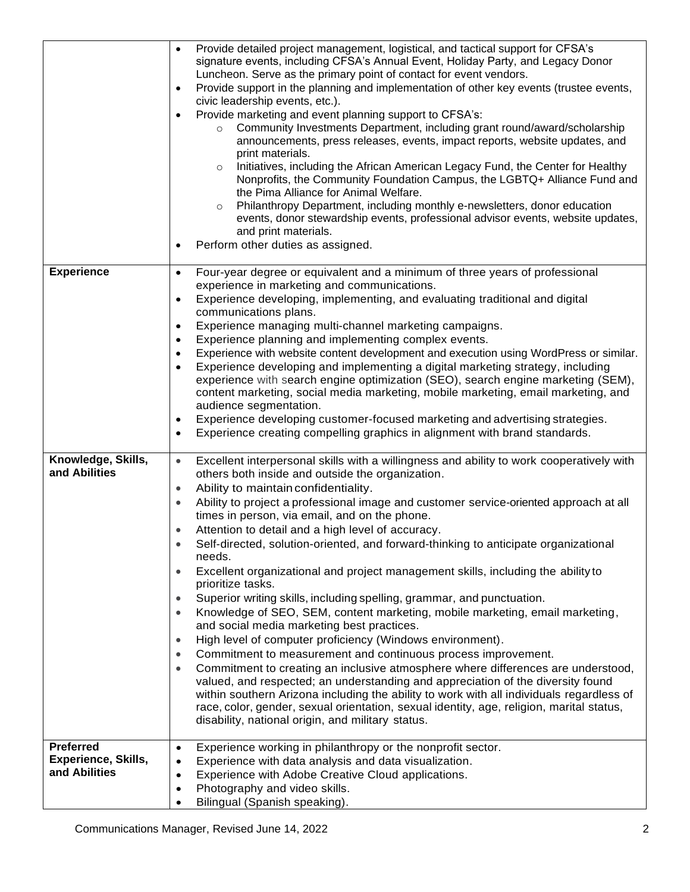|                                                                 | Provide detailed project management, logistical, and tactical support for CFSA's<br>signature events, including CFSA's Annual Event, Holiday Party, and Legacy Donor<br>Luncheon. Serve as the primary point of contact for event vendors.<br>Provide support in the planning and implementation of other key events (trustee events,<br>civic leadership events, etc.).<br>Provide marketing and event planning support to CFSA's:<br>Community Investments Department, including grant round/award/scholarship<br>$\circ$<br>announcements, press releases, events, impact reports, website updates, and<br>print materials.<br>Initiatives, including the African American Legacy Fund, the Center for Healthy<br>$\circ$<br>Nonprofits, the Community Foundation Campus, the LGBTQ+ Alliance Fund and<br>the Pima Alliance for Animal Welfare.<br>Philanthropy Department, including monthly e-newsletters, donor education<br>$\circ$<br>events, donor stewardship events, professional advisor events, website updates,<br>and print materials.<br>Perform other duties as assigned.<br>$\bullet$                                                                                                                                                                                                                                                                                                                                                         |
|-----------------------------------------------------------------|-----------------------------------------------------------------------------------------------------------------------------------------------------------------------------------------------------------------------------------------------------------------------------------------------------------------------------------------------------------------------------------------------------------------------------------------------------------------------------------------------------------------------------------------------------------------------------------------------------------------------------------------------------------------------------------------------------------------------------------------------------------------------------------------------------------------------------------------------------------------------------------------------------------------------------------------------------------------------------------------------------------------------------------------------------------------------------------------------------------------------------------------------------------------------------------------------------------------------------------------------------------------------------------------------------------------------------------------------------------------------------------------------------------------------------------------------------------------|
| <b>Experience</b>                                               | Four-year degree or equivalent and a minimum of three years of professional<br>$\bullet$<br>experience in marketing and communications.<br>Experience developing, implementing, and evaluating traditional and digital<br>$\bullet$<br>communications plans.<br>Experience managing multi-channel marketing campaigns.<br>$\bullet$<br>Experience planning and implementing complex events.<br>$\bullet$<br>Experience with website content development and execution using WordPress or similar.<br>$\bullet$<br>Experience developing and implementing a digital marketing strategy, including<br>experience with search engine optimization (SEO), search engine marketing (SEM),<br>content marketing, social media marketing, mobile marketing, email marketing, and<br>audience segmentation.<br>Experience developing customer-focused marketing and advertising strategies.<br>٠<br>Experience creating compelling graphics in alignment with brand standards.<br>$\bullet$                                                                                                                                                                                                                                                                                                                                                                                                                                                                             |
| Knowledge, Skills,<br>and Abilities                             | Excellent interpersonal skills with a willingness and ability to work cooperatively with<br>$\bullet$<br>others both inside and outside the organization.<br>Ability to maintain confidentiality.<br>$\bullet$<br>Ability to project a professional image and customer service-oriented approach at all<br>times in person, via email, and on the phone.<br>Attention to detail and a high level of accuracy.<br>Self-directed, solution-oriented, and forward-thinking to anticipate organizational<br>needs.<br>Excellent organizational and project management skills, including the ability to<br>$\bullet$<br>prioritize tasks.<br>Superior writing skills, including spelling, grammar, and punctuation.<br>$\bullet$<br>Knowledge of SEO, SEM, content marketing, mobile marketing, email marketing,<br>$\bullet$<br>and social media marketing best practices.<br>High level of computer proficiency (Windows environment).<br>$\bullet$<br>Commitment to measurement and continuous process improvement.<br>$\bullet$<br>Commitment to creating an inclusive atmosphere where differences are understood,<br>$\bullet$<br>valued, and respected; an understanding and appreciation of the diversity found<br>within southern Arizona including the ability to work with all individuals regardless of<br>race, color, gender, sexual orientation, sexual identity, age, religion, marital status,<br>disability, national origin, and military status. |
| <b>Preferred</b><br><b>Experience, Skills,</b><br>and Abilities | Experience working in philanthropy or the nonprofit sector.<br>$\bullet$<br>Experience with data analysis and data visualization.<br>$\bullet$<br>Experience with Adobe Creative Cloud applications.<br>$\bullet$<br>Photography and video skills.<br>$\bullet$<br>Bilingual (Spanish speaking).<br>$\bullet$                                                                                                                                                                                                                                                                                                                                                                                                                                                                                                                                                                                                                                                                                                                                                                                                                                                                                                                                                                                                                                                                                                                                                   |